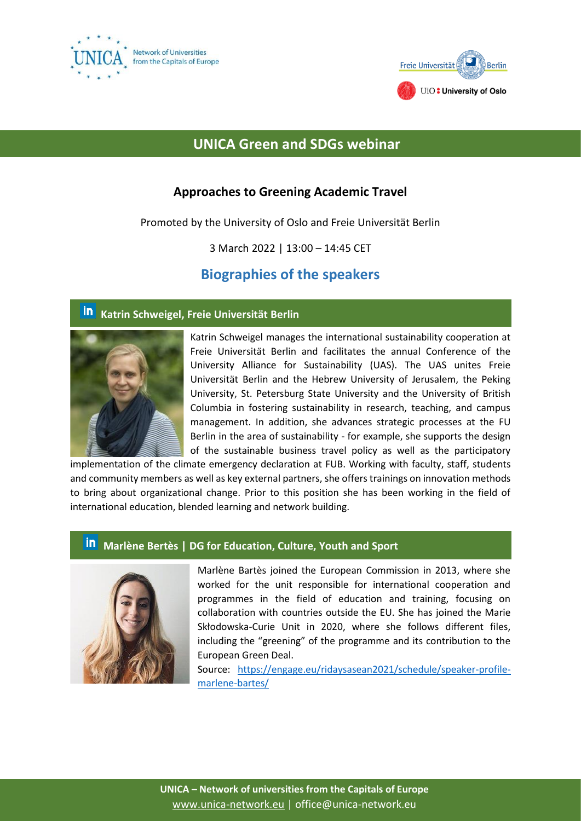



# **UNICA Green and SDGs webinar**

## **Approaches to Greening Academic Travel**

Promoted by the University of Oslo and Freie Universität Berlin

3 March 2022 | 13:00 – 14:45 CET

## **Biographies of the speakers**

#### <u>in</u> **Katrin Schweigel, Freie Universität Berlin**



Katrin Schweigel manages the international sustainability cooperation at Freie Universität Berlin and facilitates the annual Conference of the University Alliance for Sustainability (UAS). The UAS unites Freie Universität Berlin and the Hebrew University of Jerusalem, the Peking University, St. Petersburg State University and the University of British Columbia in fostering sustainability in research, teaching, and campus management. In addition, she advances strategic processes at the FU Berlin in the area of sustainability - for example, she supports the design of the sustainable business travel policy as well as the participatory

implementation of the climate emergency declaration at FUB. Working with faculty, staff, students and community members as well as key external partners, she offers trainings on innovation methods to bring about organizational change. Prior to this position she has been working in the field of international education, blended learning and network building.

## **in** Marlène Bertès | DG for Education, Culture, Youth and Sport



Marlène Bartès joined the European Commission in 2013, where she worked for the unit responsible for international cooperation and programmes in the field of education and training, focusing on collaboration with countries outside the EU. She has joined the Marie Skłodowska-Curie Unit in 2020, where she follows different files, including the "greening" of the programme and its contribution to the European Green Deal.

Source: [https://engage.eu/ridaysasean2021/schedule/speaker-profile](https://engage.eu/ridaysasean2021/schedule/speaker-profile-marlene-bartes/)[marlene-bartes/](https://engage.eu/ridaysasean2021/schedule/speaker-profile-marlene-bartes/)